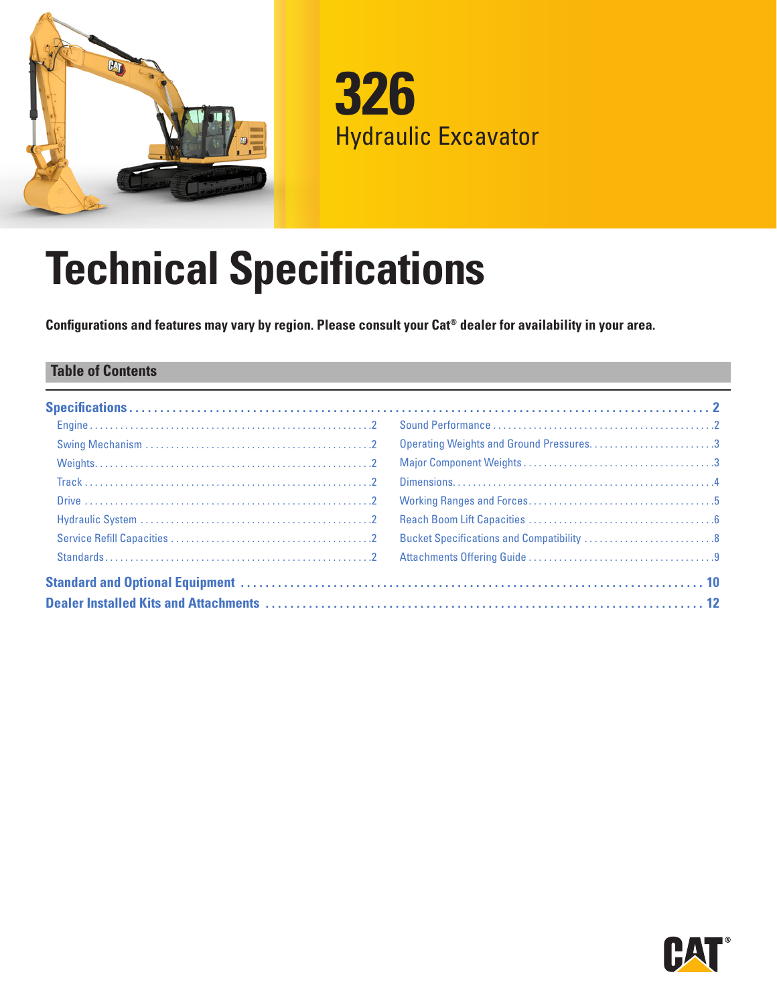



# **Technical Specifications**

**Configurations and features may vary by region. Please consult your Cat® dealer for availability in your area.**

### **Table of Contents**

|  | Operating Weights and Ground Pressures3   |  |
|--|-------------------------------------------|--|
|  |                                           |  |
|  |                                           |  |
|  |                                           |  |
|  |                                           |  |
|  | Bucket Specifications and Compatibility 8 |  |
|  |                                           |  |
|  |                                           |  |
|  |                                           |  |

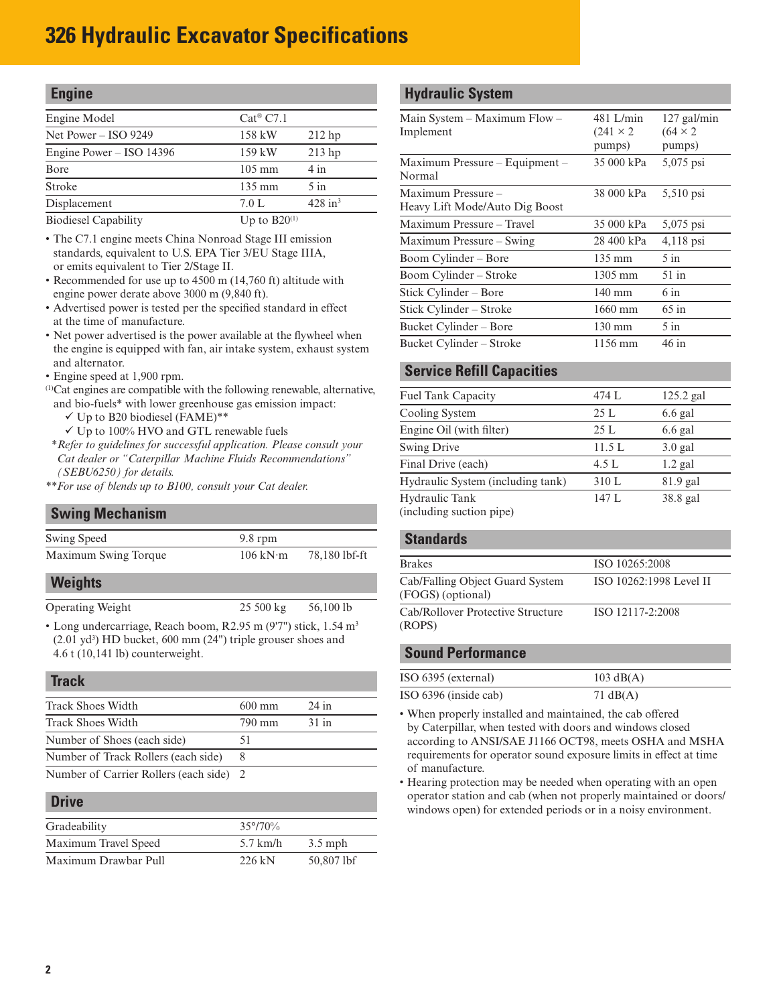# <span id="page-1-0"></span>**326 Hydraulic Excavator Specifications**

| <b>Engine</b>              |                        |                       |
|----------------------------|------------------------|-----------------------|
| Engine Model               | $Cat^{\circledR}$ C7.1 |                       |
| Net Power $-$ ISO 9249     | 158 kW                 | $212$ hp              |
| Engine Power $-$ ISO 14396 | $159$ kW               | $213$ hp              |
| Bore                       | $105 \text{ mm}$       | $4 \text{ in}$        |
| Stroke                     | $135 \text{ mm}$       | $5$ in                |
| Displacement               | 7.0 L                  | $428$ in <sup>3</sup> |
| ___________                | -- ----                |                       |

Biodiesel Capability  $Up to B20^{(1)}$ 

- The C7.1 engine meets China Nonroad Stage III emission standards, equivalent to U.S. EPA Tier 3/EU Stage IIIA, or emits equivalent to Tier 2/Stage II.
- Recommended for use up to 4500 m (14,760 ft) altitude with engine power derate above 3000 m (9,840 ft).
- Advertised power is tested per the specified standard in effect at the time of manufacture.
- Net power advertised is the power available at the flywheel when the engine is equipped with fan, air intake system, exhaust system and alternator.
- Engine speed at 1,900 rpm.
- (1)Cat engines are compatible with the following renewable, alternative, and bio-fuels\* with lower greenhouse gas emission impact:
	- $\checkmark$  Up to B20 biodiesel (FAME)\*\*
	- $\checkmark$  Up to 100% HVO and GTL renewable fuels
- *\*\*Refer to guidelines for successful application. Please consult your Cat dealer or "Caterpillar Machine Fluids Recommendations" (SEBU6250) for details.*
- *\*\*For use of blends up to B100, consult your Cat dealer.*

#### **Swing Mechanism**

| Swing Speed                                                                                                                                             | $9.8$ rpm                       |               |
|---------------------------------------------------------------------------------------------------------------------------------------------------------|---------------------------------|---------------|
| Maximum Swing Torque                                                                                                                                    | $106 \text{ kN} \cdot \text{m}$ | 78,180 lbf-ft |
| <b>Weights</b>                                                                                                                                          |                                 |               |
| <b>Operating Weight</b>                                                                                                                                 | $25500 \text{ kg}$              | 56,100 lb     |
| • Long undercarriage, Reach boom, R2.95 m (9'7") stick, 1.54 m <sup>3</sup><br>$(2.01 \text{ yd}^3)$ HD bucket, 600 mm $(24")$ triple grouser shoes and |                                 |               |

4.6 t (10,141 lb) counterweight.

#### **Track**

| <b>Track Shoes Width</b>                | $600 \text{ mm}$ | $24$ in |
|-----------------------------------------|------------------|---------|
| <b>Track Shoes Width</b>                | 790 mm           | $31$ in |
| Number of Shoes (each side)             | 51               |         |
| Number of Track Rollers (each side)     |                  |         |
| Number of Carrier Rollers (each side) 2 |                  |         |

#### **Drive**

| -----                |                   |            |
|----------------------|-------------------|------------|
| Gradeability         | $35^{\circ}/70\%$ |            |
| Maximum Travel Speed | $5.7$ km/h        | $3.5$ mph  |
| Maximum Drawbar Pull | $226 \text{ kN}$  | 50,807 lbf |

### **Hydraulic System**

| Main System – Maximum Flow –<br>Implement            | 481 L/min<br>$(241 \times 2)$<br>pumps) | $127$ gal/min<br>$(64 \times 2)$<br>pumps) |
|------------------------------------------------------|-----------------------------------------|--------------------------------------------|
| Maximum Pressure - Equipment -<br>Normal             | 35 000 kPa                              | 5,075 psi                                  |
| Maximum Pressure -<br>Heavy Lift Mode/Auto Dig Boost | 38 000 kPa                              | 5,510 psi                                  |
| Maximum Pressure - Travel                            | 35 000 kPa                              | 5,075 psi                                  |
| Maximum Pressure - Swing                             | 28 400 kPa                              | $4,118$ psi                                |
| Boom Cylinder – Bore                                 | 135 mm                                  | $5 \infty$                                 |
| Boom Cylinder – Stroke                               | 1305 mm                                 | 51 in                                      |
| Stick Cylinder – Bore                                | $140 \text{ mm}$                        | 6 in                                       |
| Stick Cylinder – Stroke                              | 1660 mm                                 | $65 \text{ in}$                            |
| Bucket Cylinder – Bore                               | $130 \text{ mm}$                        | $5$ in                                     |
| Bucket Cylinder – Stroke                             | 1156 mm                                 | 46 in                                      |

### **Service Refill Capacities**

| <b>Fuel Tank Capacity</b>                  | 474 L  | $125.2$ gal |
|--------------------------------------------|--------|-------------|
| Cooling System                             | 25L    | $6.6$ gal   |
| Engine Oil (with filter)                   | 25L    | $6.6$ gal   |
| <b>Swing Drive</b>                         | 11.5 L | $3.0$ gal   |
| Final Drive (each)                         | 4.5 L  | $1.2$ gal   |
| Hydraulic System (including tank)          | 310 L  | $81.9$ gal  |
| Hydraulic Tank<br>(including suction pipe) | 147L   | 38.8 gal    |

#### **Standards**

| <b>Brakes</b>                                        | ISO 10265:2008          |
|------------------------------------------------------|-------------------------|
| Cab/Falling Object Guard System<br>(FOGS) (optional) | ISO 10262:1998 Level II |
| Cab/Rollover Protective Structure<br>(ROPS)          | ISO 12117-2:2008        |

#### **Sound Performance**

| ISO 6395 (external)   | $103 \text{ dB}(A)$ |
|-----------------------|---------------------|
| ISO 6396 (inside cab) | 71 $dB(A)$          |

• When properly installed and maintained, the cab offered by Caterpillar, when tested with doors and windows closed according to ANSI/SAE J1166 OCT98, meets OSHA and MSHA requirements for operator sound exposure limits in effect at time of manufacture.

• Hearing protection may be needed when operating with an open operator station and cab (when not properly maintained or doors/ windows open) for extended periods or in a noisy environment.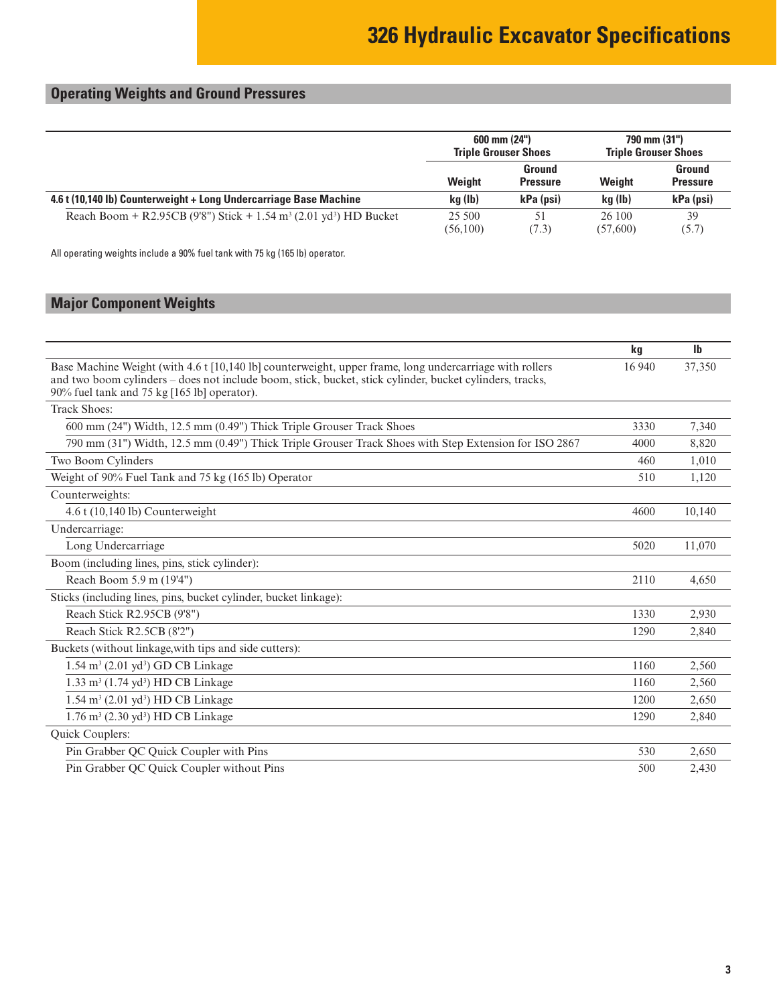# <span id="page-2-0"></span>**Operating Weights and Ground Pressures**

|                                                                                           | $600 \text{ mm} (24")$<br><b>Triple Grouser Shoes</b> |                           | 790 mm (31")<br><b>Triple Grouser Shoes</b> |                           |
|-------------------------------------------------------------------------------------------|-------------------------------------------------------|---------------------------|---------------------------------------------|---------------------------|
|                                                                                           | Weight                                                | Ground<br><b>Pressure</b> | <b>Weight</b>                               | Ground<br><b>Pressure</b> |
| 4.6 t (10,140 lb) Counterweight + Long Undercarriage Base Machine                         | kg (lb)                                               | kPa (psi)                 | ka (lb)                                     | kPa (psi)                 |
| Reach Boom + R2.95CB (9'8") Stick + 1.54 m <sup>3</sup> (2.01 yd <sup>3</sup> ) HD Bucket | 25 500<br>(56,100)                                    | 51<br>(7.3)               | 26 100<br>(57,600)                          | 39<br>(5.7)               |

All operating weights include a 90% fuel tank with 75 kg (165 lb) operator.

# **Major Component Weights**

|                                                                                                                                                                                                                                                                    | kg     | $\mathbf{I}$ |
|--------------------------------------------------------------------------------------------------------------------------------------------------------------------------------------------------------------------------------------------------------------------|--------|--------------|
| Base Machine Weight (with 4.6 t [10,140 lb] counterweight, upper frame, long undercarriage with rollers<br>and two boom cylinders - does not include boom, stick, bucket, stick cylinder, bucket cylinders, tracks,<br>90% fuel tank and 75 kg [165 lb] operator). | 16 940 | 37,350       |
| <b>Track Shoes:</b>                                                                                                                                                                                                                                                |        |              |
| 600 mm (24") Width, 12.5 mm (0.49") Thick Triple Grouser Track Shoes                                                                                                                                                                                               | 3330   | 7.340        |
| 790 mm (31") Width, 12.5 mm (0.49") Thick Triple Grouser Track Shoes with Step Extension for ISO 2867                                                                                                                                                              | 4000   | 8,820        |
| Two Boom Cylinders                                                                                                                                                                                                                                                 | 460    | 1.010        |
| Weight of 90% Fuel Tank and 75 kg (165 lb) Operator                                                                                                                                                                                                                | 510    | 1.120        |
| Counterweights:                                                                                                                                                                                                                                                    |        |              |
| $4.6$ t (10,140 lb) Counterweight                                                                                                                                                                                                                                  | 4600   | 10,140       |
| Undercarriage:                                                                                                                                                                                                                                                     |        |              |
| Long Undercarriage                                                                                                                                                                                                                                                 | 5020   | 11,070       |
| Boom (including lines, pins, stick cylinder):                                                                                                                                                                                                                      |        |              |
| Reach Boom 5.9 m (19'4")                                                                                                                                                                                                                                           | 2110   | 4,650        |
| Sticks (including lines, pins, bucket cylinder, bucket linkage):                                                                                                                                                                                                   |        |              |
| Reach Stick R2.95CB (9'8")                                                                                                                                                                                                                                         | 1330   | 2,930        |
| Reach Stick R2.5CB (8'2")                                                                                                                                                                                                                                          | 1290   | 2.840        |
| Buckets (without linkage, with tips and side cutters):                                                                                                                                                                                                             |        |              |
| $1.54 \text{ m}^3$ (2.01 yd <sup>3</sup> ) GD CB Linkage                                                                                                                                                                                                           | 1160   | 2,560        |
| $1.33 \text{ m}^3$ (1.74 yd <sup>3</sup> ) HD CB Linkage                                                                                                                                                                                                           | 1160   | 2,560        |
| $1.54 \text{ m}^3$ (2.01 yd <sup>3</sup> ) HD CB Linkage                                                                                                                                                                                                           | 1200   | 2,650        |
| $1.76 \text{ m}^3$ (2.30 yd <sup>3</sup> ) HD CB Linkage                                                                                                                                                                                                           | 1290   | 2,840        |
| Quick Couplers:                                                                                                                                                                                                                                                    |        |              |
| Pin Grabber QC Quick Coupler with Pins                                                                                                                                                                                                                             | 530    | 2,650        |
| Pin Grabber QC Quick Coupler without Pins                                                                                                                                                                                                                          | 500    | 2.430        |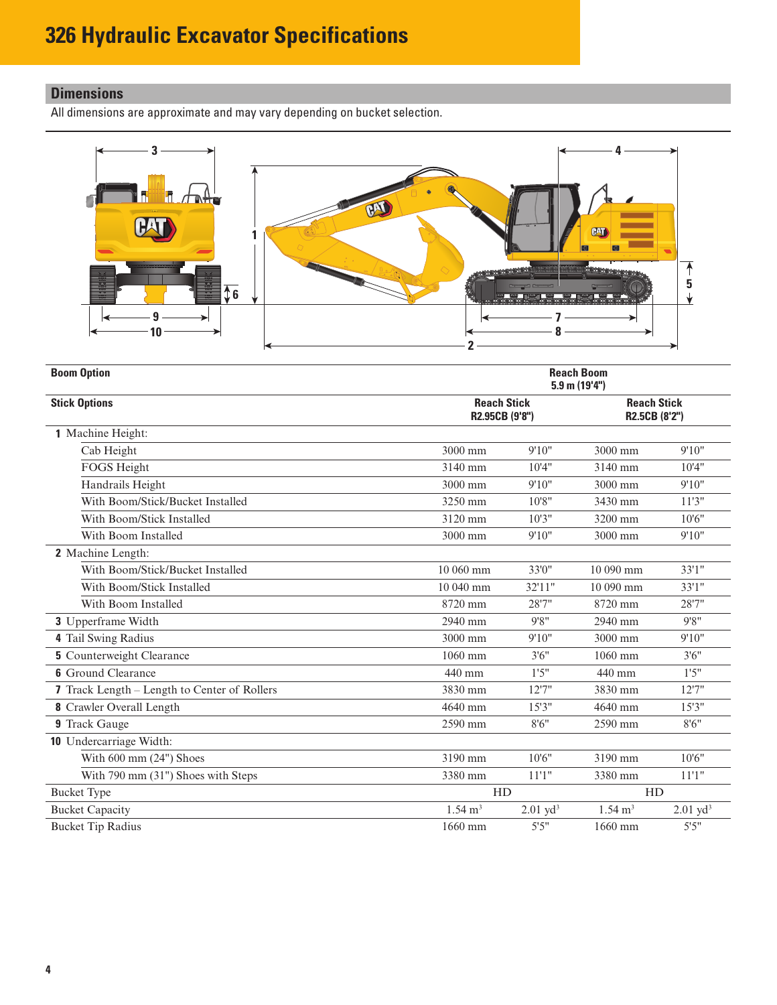# <span id="page-3-0"></span>**Dimensions**

All dimensions are approximate and may vary depending on bucket selection.



| <b>Boom Option</b>                           | <b>Reach Boom</b><br>5.9 m (19'4")   |                        |                                     |                        |
|----------------------------------------------|--------------------------------------|------------------------|-------------------------------------|------------------------|
| <b>Stick Options</b>                         | <b>Reach Stick</b><br>R2.95CB (9'8") |                        | <b>Reach Stick</b><br>R2.5CB (8'2") |                        |
| 1 Machine Height:                            |                                      |                        |                                     |                        |
| Cab Height                                   | 3000 mm                              | 9'10"                  | 3000 mm                             | 9'10"                  |
| FOGS Height                                  | 3140 mm                              | 10'4"                  | 3140 mm                             | 10'4"                  |
| Handrails Height                             | 3000 mm                              | 9'10"                  | 3000 mm                             | 9'10"                  |
| With Boom/Stick/Bucket Installed             | 3250 mm                              | 10'8"                  | 3430 mm                             | 11'3''                 |
| With Boom/Stick Installed                    | 3120 mm                              | 10'3''                 | 3200 mm                             | 10'6''                 |
| With Boom Installed                          | 3000 mm                              | 9'10"                  | 3000 mm                             | 9'10"                  |
| 2 Machine Length:                            |                                      |                        |                                     |                        |
| With Boom/Stick/Bucket Installed             | $10060$ mm                           | 33'0"                  | 10 090 mm                           | 33'1"                  |
| With Boom/Stick Installed                    | $10040$ mm                           | 32'11"                 | 10 090 mm                           | 33'1"                  |
| With Boom Installed                          | 8720 mm                              | 28'7"                  | 8720 mm                             | 28'7"                  |
| 3 Upperframe Width                           | 2940 mm                              | 9'8''                  | 2940 mm                             | 9'8''                  |
| 4 Tail Swing Radius                          | 3000 mm                              | 9'10"                  | 3000 mm                             | 9'10"                  |
| <b>5</b> Counterweight Clearance             | 1060 mm                              | 3'6''                  | 1060 mm                             | 3'6''                  |
| <b>6</b> Ground Clearance                    | 440 mm                               | 1'5''                  | 440 mm                              | 1'5''                  |
| 7 Track Length - Length to Center of Rollers | 3830 mm                              | 12'7"                  | 3830 mm                             | 12'7''                 |
| 8 Crawler Overall Length                     | 4640 mm                              | 15'3''                 | 4640 mm                             | 15'3''                 |
| 9 Track Gauge                                | 2590 mm                              | 8'6''                  | 2590 mm                             | 8'6''                  |
| 10 Undercarriage Width:                      |                                      |                        |                                     |                        |
| With 600 mm (24") Shoes                      | 3190 mm                              | 10'6''                 | 3190 mm                             | 10'6''                 |
| With 790 mm (31") Shoes with Steps           | 3380 mm                              | 11'1''                 | 3380 mm                             | 11'1"                  |
| <b>Bucket Type</b>                           |                                      | HD                     |                                     | HD                     |
| <b>Bucket Capacity</b>                       | $1.54 \text{ m}^3$                   | $2.01$ yd <sup>3</sup> | $1.54 \text{ m}^3$                  | $2.01$ yd <sup>3</sup> |
| <b>Bucket Tip Radius</b>                     | 1660 mm                              | 5'5''                  | 1660 mm                             | 5'5''                  |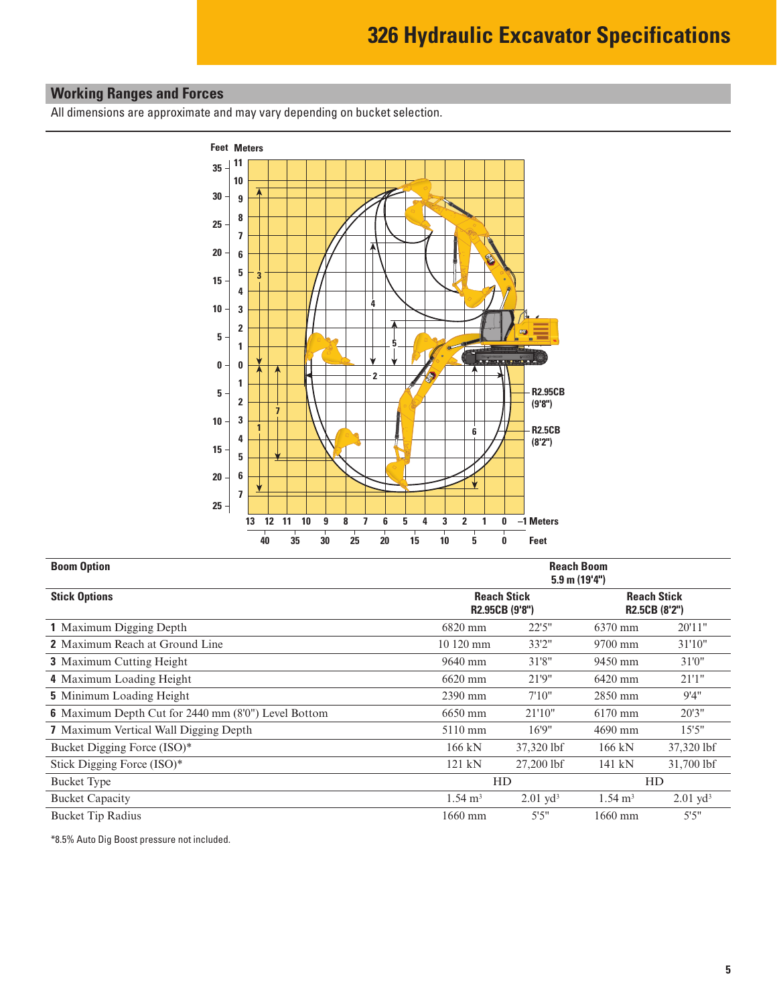# <span id="page-4-0"></span>**Working Ranges and Forces**

All dimensions are approximate and may vary depending on bucket selection.



| <b>Boom Option</b>                                         | <b>Reach Boom</b><br>$5.9$ m $(19'4'')$ |                        |                                     |                        |  |  |  |  |
|------------------------------------------------------------|-----------------------------------------|------------------------|-------------------------------------|------------------------|--|--|--|--|
| <b>Stick Options</b>                                       | R2.95CB (9'8")                          | <b>Reach Stick</b>     | <b>Reach Stick</b><br>R2.5CB (8'2") |                        |  |  |  |  |
| 1 Maximum Digging Depth                                    | 6820 mm                                 | 22'5''                 | 6370 mm                             | 20'11"                 |  |  |  |  |
| <b>2</b> Maximum Reach at Ground Line                      | 10 120 mm                               | 33'2"                  | 9700 mm                             | 31'10"                 |  |  |  |  |
| <b>3</b> Maximum Cutting Height                            | 9640 mm                                 | 31'8"                  | 9450 mm                             | 31'0"                  |  |  |  |  |
| 4 Maximum Loading Height                                   | 6620 mm                                 | 21'9"                  | 6420 mm                             | 21'1''                 |  |  |  |  |
| <b>5</b> Minimum Loading Height                            | 2390 mm                                 | 7'10''                 | 2850 mm                             | 9'4"                   |  |  |  |  |
| <b>6</b> Maximum Depth Cut for 2440 mm (8'0") Level Bottom | 6650 mm                                 | 21'10"                 | 6170 mm                             | 20'3''                 |  |  |  |  |
| <b>7</b> Maximum Vertical Wall Digging Depth               | 5110 mm                                 | 16'9''                 | 4690 mm                             | 15'5''                 |  |  |  |  |
| Bucket Digging Force (ISO)*                                | $166$ kN                                | 37,320 lbf             | 166 kN                              | 37,320 lbf             |  |  |  |  |
| Stick Digging Force (ISO)*                                 | 121 kN                                  | 27,200 lbf             | 141 kN                              | 31,700 lbf             |  |  |  |  |
| <b>Bucket Type</b>                                         |                                         | <b>HD</b>              |                                     | <b>HD</b>              |  |  |  |  |
| <b>Bucket Capacity</b>                                     | $1.54 \text{ m}^3$                      | $2.01$ yd <sup>3</sup> | $1.54 \text{ m}^3$                  | $2.01$ yd <sup>3</sup> |  |  |  |  |
| <b>Bucket Tip Radius</b>                                   | 1660 mm                                 | 5'5''                  | 1660 mm                             | 5'5''                  |  |  |  |  |

\*8.5% Auto Dig Boost pressure not included.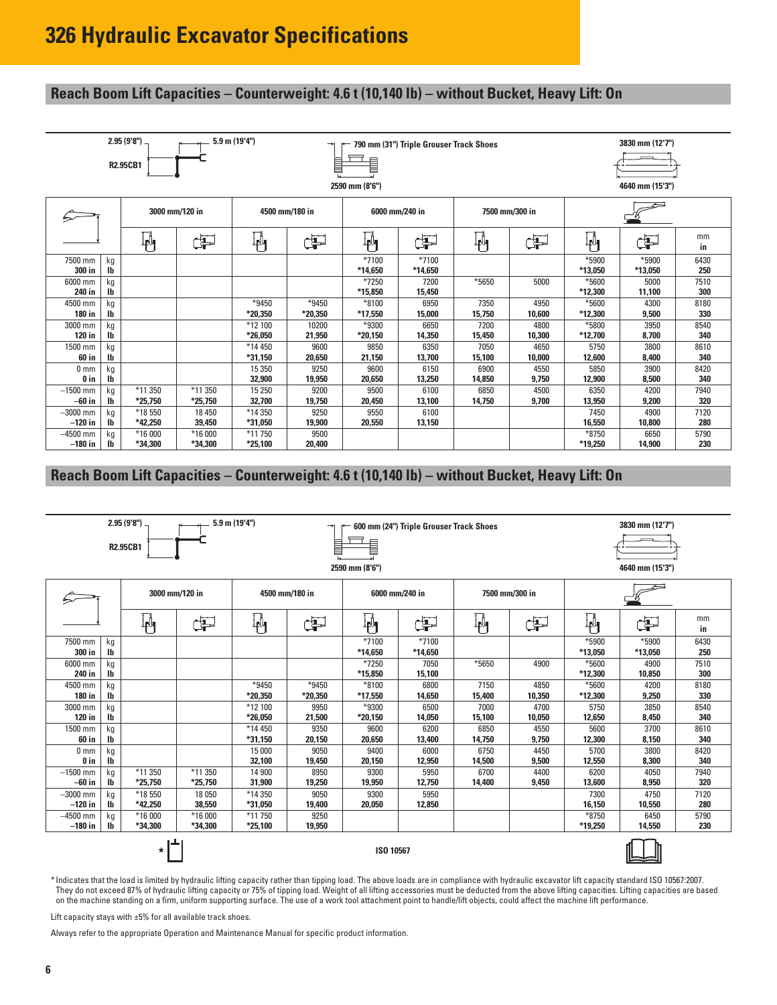## <span id="page-5-0"></span>**Reach Boom Lift Capacities – Counterweight: 4.6 t (10,140 lb) – without Bucket, Heavy Lift: On**

| 2.95 (9'8") .<br>$5.9$ m $(19'4")$<br><b>R2.95CB1</b> |                                 |                      |                      |                    |                                  | 2590 mm (8'6")     | 790 mm (31") Triple Grouser Track Shoes |                |                | 3830 mm (12'7")<br>4640 mm (15'3") |                  |             |  |
|-------------------------------------------------------|---------------------------------|----------------------|----------------------|--------------------|----------------------------------|--------------------|-----------------------------------------|----------------|----------------|------------------------------------|------------------|-------------|--|
|                                                       |                                 | 3000 mm/120 in       |                      |                    | 4500 mm/180 in<br>6000 mm/240 in |                    |                                         | 7500 mm/300 in |                |                                    |                  |             |  |
|                                                       |                                 | 判                    | Þ                    | 艸                  | ď                                | ₩                  | ď                                       | 畃              | ď              | 軜                                  | 事                | mm<br>in    |  |
| 7500 mm<br>300 in                                     | kg<br>$\mathsf{I}^{\mathsf{b}}$ |                      |                      |                    |                                  | $*7100$<br>*14,650 | *7100<br>*14,650                        |                |                | *5900<br>*13,050                   | *5900<br>*13,050 | 6430<br>250 |  |
| 6000 mm<br>240 in                                     | kg<br>$\mathsf{I}^{\mathsf{b}}$ |                      |                      |                    |                                  | $*7250$<br>*15,850 | 7200<br>15,450                          | *5650          | 5000           | *5600<br>*12,300                   | 5000<br>11,100   | 7510<br>300 |  |
| 4500 mm<br>180 in                                     | kg<br>$\mathsf{I}^{\mathsf{b}}$ |                      |                      | *9450<br>*20,350   | $*9450$<br>*20,350               | *8100<br>*17.550   | 6950<br>15,000                          | 7350<br>15,750 | 4950<br>10,600 | *5600<br>*12,300                   | 4300<br>9,500    | 8180<br>330 |  |
| 3000 mm<br>120 in                                     | kg<br>Ib                        |                      |                      | *12 100<br>*26,050 | 10200<br>21,950                  | $*9300$<br>*20,150 | 6650<br>14,350                          | 7200<br>15,450 | 4800<br>10,300 | *5800<br>*12,700                   | 3950<br>8,700    | 8540<br>340 |  |
| 1500 mm<br>60 in                                      | kg<br>$\mathsf{I}^{\mathsf{b}}$ |                      |                      | *14 450<br>*31,150 | 9600<br>20,650                   | 9850<br>21,150     | 6350<br>13,700                          | 7050<br>15,100 | 4650<br>10,000 | 5750<br>12,600                     | 3800<br>8,400    | 8610<br>340 |  |
| 0 <sub>mm</sub><br>0 <sub>in</sub>                    | kg<br>I <sub>b</sub>            |                      |                      | 15 3 50<br>32,900  | 9250<br>19,950                   | 9600<br>20,650     | 6150<br>13,250                          | 6900<br>14,850 | 4550<br>9,750  | 5850<br>12,900                     | 3900<br>8,500    | 8420<br>340 |  |
| $-1500$ mm<br>$-60$ in                                | kg<br>$\mathsf{I}^{\mathsf{b}}$ | *11 350<br>$*25,750$ | *11 350<br>$*25,750$ | 15 250<br>32,700   | 9200<br>19,750                   | 9500<br>20,450     | 6100<br>13,100                          | 6850<br>14,750 | 4500<br>9,700  | 6350<br>13,950                     | 4200<br>9,200    | 7940<br>320 |  |
| $-3000$ mm<br>$-120$ in                               | kg<br>I <sub>b</sub>            | *18550<br>*42,250    | 18 450<br>39,450     | *14 350<br>*31,050 | 9250<br>19,900                   | 9550<br>20,550     | 6100<br>13,150                          |                |                | 7450<br>16,550                     | 4900<br>10,800   | 7120<br>280 |  |
| $-4500$ mm<br>$-180$ in                               | kg<br>$\mathbf{I}$              | *16 000<br>*34,300   | *16 000<br>*34,300   | *11 750<br>*25,100 | 9500<br>20,400                   |                    |                                         |                |                | *8750<br>*19,250                   | 6650<br>14,900   | 5790<br>230 |  |

### **Reach Boom Lift Capacities – Counterweight: 4.6 t (10,140 lb) – without Bucket, Heavy Lift: On**

| 2.95(9'8")<br>5.9 m (19'4")<br>600 mm (24") Triple Grouser Track Shoes<br>→<br><b>R2.95CB1</b><br>2590 mm (8'6") |                                 |                    |                    |                                                    |                  |                    |                  |                | 3830 mm (12'7")<br>4640 mm (15'3") |                  |                  |             |
|------------------------------------------------------------------------------------------------------------------|---------------------------------|--------------------|--------------------|----------------------------------------------------|------------------|--------------------|------------------|----------------|------------------------------------|------------------|------------------|-------------|
|                                                                                                                  |                                 |                    | 3000 mm/120 in     | 4500 mm/180 in<br>6000 mm/240 in<br>7500 mm/300 in |                  |                    |                  |                |                                    |                  |                  |             |
|                                                                                                                  |                                 | կ≬<br>∤            | ¢P                 | ₩                                                  | Œ                | ╟╝                 | Œ                | $\mathbb{F}_1$ | Þ                                  | 軜                | Œ                | mm<br>in    |
| 7500 mm<br>300 in                                                                                                | kg<br>$\mathsf{I}\mathsf{b}$    |                    |                    |                                                    |                  | $*7100$<br>*14,650 | *7100<br>*14,650 |                |                                    | *5900<br>*13,050 | *5900<br>*13,050 | 6430<br>250 |
| 6000 mm<br>240 in                                                                                                | kg<br>$\mathsf{I}\mathsf{b}$    |                    |                    |                                                    |                  | $*7250$<br>*15,850 | 7050<br>15,100   | *5650          | 4900                               | *5600<br>*12,300 | 4900<br>10,850   | 7510<br>300 |
| 4500 mm<br>180 in                                                                                                | kg<br>I <sub>b</sub>            |                    |                    | *9450<br>*20,350                                   | *9450<br>*20,350 | *8100<br>*17,550   | 6800<br>14,650   | 7150<br>15,400 | 4850<br>10,350                     | *5600<br>*12,300 | 4200<br>9,250    | 8180<br>330 |
| 3000 mm<br>120 in                                                                                                | kg<br>I <sub>b</sub>            |                    |                    | *12 100<br>*26,050                                 | 9950<br>21,500   | *9300<br>*20,150   | 6500<br>14,050   | 7000<br>15,100 | 4700<br>10,050                     | 5750<br>12,650   | 3850<br>8,450    | 8540<br>340 |
| 1500 mm<br>60 in                                                                                                 | kg<br>I <sub>b</sub>            |                    |                    | *14 450<br>*31,150                                 | 9350<br>20,150   | 9600<br>20,650     | 6200<br>13,400   | 6850<br>14,750 | 4550<br>9,750                      | 5600<br>12,300   | 3700<br>8,150    | 8610<br>340 |
| 0 <sub>mm</sub><br>0 <sub>in</sub>                                                                               | kg<br>Ib                        |                    |                    | 15 000<br>32,100                                   | 9050<br>19,450   | 9400<br>20,150     | 6000<br>12,950   | 6750<br>14,500 | 4450<br>9,500                      | 5700<br>12,550   | 3800<br>8,300    | 8420<br>340 |
| $-1500$ mm<br>$-60$ in                                                                                           | kg<br>Ib                        | *11 350<br>*25,750 | *11 350<br>*25,750 | 14 900<br>31,900                                   | 8950<br>19,250   | 9300<br>19,950     | 5950<br>12,750   | 6700<br>14,400 | 4400<br>9,450                      | 6200<br>13,600   | 4050<br>8,950    | 7940<br>320 |
| $-3000$ mm<br>$-120$ in                                                                                          | kg<br>lb                        | *18550<br>*42.250  | 18 050<br>38,550   | *14 350<br>*31,050                                 | 9050<br>19,400   | 9300<br>20,050     | 5950<br>12,850   |                |                                    | 7300<br>16,150   | 4750<br>10,550   | 7120<br>280 |
| $-4500$ mm<br>$-180$ in                                                                                          | kg<br>$\mathsf{I}^{\mathsf{b}}$ | *16 000<br>*34,300 | *16 000<br>*34.300 | *11750<br>*25,100                                  | 9250<br>19,950   |                    |                  |                |                                    | *8750<br>*19,250 | 6450<br>14,550   | 5790<br>230 |
| $\star$<br>ISO 10567                                                                                             |                                 |                    |                    |                                                    |                  |                    |                  |                |                                    |                  |                  |             |

\* Indicates that the load is limited by hydraulic lifting capacity rather than tipping load. The above loads are in compliance with hydraulic excavator lift capacity standard ISO 10567:2007. They do not exceed 87% of hydraulic lifting capacity or 75% of tipping load. Weight of all lifting accessories must be deducted from the above lifting capacities. Lifting capacities are based on the machine standing on a firm, uniform supporting surface. The use of a work tool attachment point to handle/lift objects, could affect the machine lift performance.

Lift capacity stays with ±5% for all available track shoes.

Always refer to the appropriate Operation and Maintenance Manual for specific product information.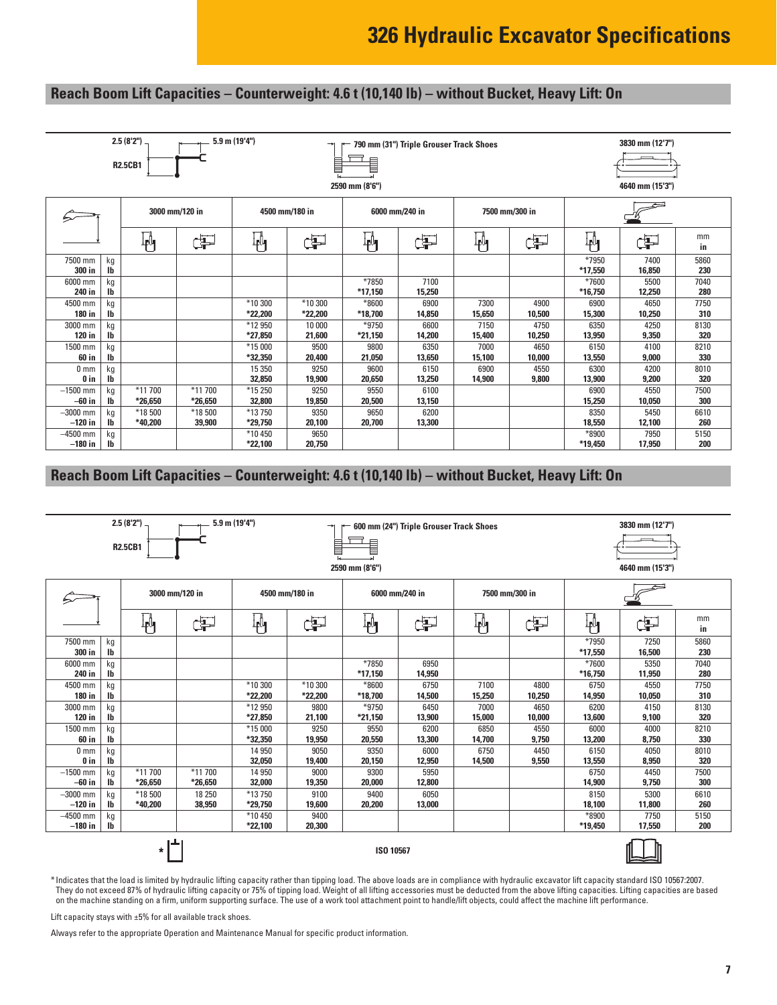# **Reach Boom Lift Capacities – Counterweight: 4.6 t (10,140 lb) – without Bucket, Heavy Lift: On**

| $2.5(8'2")$ –<br>$5.9$ m $(19'4'')$<br><b>R2.5CB1</b> |                                 |           |                |                    | 790 mm (31") Triple Grouser Track Shoes<br>▤<br>B<br>2590 mm (8'6") |           |        |                |                | 3830 mm (12'7")<br>4640 mm (15'3") |                |             |
|-------------------------------------------------------|---------------------------------|-----------|----------------|--------------------|---------------------------------------------------------------------|-----------|--------|----------------|----------------|------------------------------------|----------------|-------------|
|                                                       |                                 |           | 3000 mm/120 in |                    | 4500 mm/180 in<br>6000 mm/240 in                                    |           |        |                | 7500 mm/300 in |                                    |                |             |
|                                                       |                                 | Ψ         | 臣              | 判                  | ď                                                                   | կ≬<br>4   | Œ      | $\mathbb{F}_1$ | ď              | $\mathbb{P}_1$                     | Þ              | mm<br>in    |
| 7500 mm<br>300 in                                     | kg<br>$\mathsf{I}^{\mathsf{b}}$ |           |                |                    |                                                                     |           |        |                |                | *7950<br>*17,550                   | 7400<br>16,850 | 5860<br>230 |
| 6000 mm                                               | kg                              |           |                |                    |                                                                     | *7850     | 7100   |                |                | *7600                              | 5500           | 7040        |
| 240 in                                                | $\mathsf{I}\mathsf{b}$          |           |                |                    |                                                                     | $*17,150$ | 15,250 |                |                | *16,750                            | 12,250         | 280         |
| 4500 mm                                               | kg                              |           |                | *10 300            | *10 300                                                             | $*8600$   | 6900   | 7300           | 4900           | 6900                               | 4650           | 7750        |
| 180 in                                                | $\mathsf{I}^{\mathsf{b}}$       |           |                | *22,200            | *22,200                                                             | *18,700   | 14,850 | 15,650         | 10,500         | 15,300                             | 10,250         | 310         |
| 3000 mm                                               | kg                              |           |                | *12 950            | 10 000                                                              | $*9750$   | 6600   | 7150           | 4750           | 6350                               | 4250           | 8130        |
| 120 in                                                | $\mathsf{I}^{\mathsf{b}}$       |           |                | *27,850            | 21,600                                                              | *21,150   | 14,200 | 15,400         | 10,250         | 13,950                             | 9,350          | 320         |
| 1500 mm                                               | kg                              |           |                | *15 000            | 9500                                                                | 9800      | 6350   | 7000           | 4650           | 6150                               | 4100           | 8210        |
| 60 in                                                 | I <sub>b</sub>                  |           |                | *32,350            | 20,400                                                              | 21,050    | 13,650 | 15,100         | 10,000         | 13,550                             | 9,000          | 330         |
| 0 <sub>mm</sub>                                       | kg                              |           |                | 15 3 50            | 9250                                                                | 9600      | 6150   | 6900           | 4550           | 6300                               | 4200           | 8010        |
| 0 in                                                  | I <sub>b</sub>                  |           |                | 32,850             | 19,900                                                              | 20,650    | 13,250 | 14,900         | 9,800          | 13,900                             | 9,200          | 320         |
| $-1500$ mm                                            | kg                              | *11700    | *11 700        | *15 250            | 9250                                                                | 9550      | 6100   |                |                | 6900                               | 4550           | 7500        |
| $-60$ in                                              | lb                              | $*26,650$ | $*26,650$      |                    | 32,800<br>20,500<br>19,850<br>13,150                                |           |        |                | 15,250         | 10,050                             | 300            |             |
| $-3000$ mm                                            | kg                              | *18500    | *18 500        | *13750             | 6200<br>9350<br>9650                                                |           |        | 8350           | 5450           | 6610                               |                |             |
| $-120$ in                                             | $\mathbf{I}$                    | *40.200   | 39,900         | *29,750            | 20,100                                                              | 20,700    | 13,300 |                |                | 18,550                             | 12,100         | 260         |
| $-4500$ mm<br>$-180$ in                               | kg<br>$\mathbf{I}$              |           |                | *10 450<br>*22,100 | 9650<br>20,750                                                      |           |        |                |                | *8900<br>*19,450                   | 7950<br>17,950 | 5150<br>200 |

### **Reach Boom Lift Capacities – Counterweight: 4.6 t (10,140 lb) – without Bucket, Heavy Lift: On**

| $2.5(8'2")$ .<br>$5.9$ m $(19'4'')$<br>600 mm (24") Triple Grouser Track Shoes<br>⇥<br>▋<br><b>R2.5CB1</b><br>2590 mm (8'6") |                                 |                     |                     |                                                    |                    |                  |                |                | 3830 mm (12'7")<br>4640 mm (15'3") |                           |                |             |
|------------------------------------------------------------------------------------------------------------------------------|---------------------------------|---------------------|---------------------|----------------------------------------------------|--------------------|------------------|----------------|----------------|------------------------------------|---------------------------|----------------|-------------|
|                                                                                                                              |                                 |                     | 3000 mm/120 in      | 4500 mm/180 in<br>7500 mm/300 in<br>6000 mm/240 in |                    |                  |                |                |                                    |                           |                |             |
|                                                                                                                              |                                 | ╟╜                  | 中                   | ╟╝                                                 | ¢P                 | ┆<br>╇╹┓         | Þ              | 吶              | ďP                                 | $\overline{\mathbb{P}}$ l | $\oplus$       | mm<br>in    |
| 7500 mm<br>300 in                                                                                                            | kg<br>lb                        |                     |                     |                                                    |                    |                  |                |                |                                    | *7950<br>*17,550          | 7250<br>16,500 | 5860<br>230 |
| 6000 mm<br>240 in                                                                                                            | kg<br>lb                        |                     |                     |                                                    |                    | *7850<br>*17,150 | 6950<br>14,950 |                |                                    | *7600<br>*16,750          | 5350<br>11,950 | 7040<br>280 |
| 4500 mm<br>180 in                                                                                                            | kg<br>Ib                        |                     |                     | *10 300<br>*22,200                                 | *10 300<br>*22,200 | *8600<br>*18,700 | 6750<br>14,500 | 7100<br>15,250 | 4800<br>10,250                     | 6750<br>14,950            | 4550<br>10,050 | 7750<br>310 |
| 3000 mm<br>120 in                                                                                                            | kg<br>$\mathbf{I}$              |                     |                     | *12 950<br>*27,850                                 | 9800<br>21,100     | *9750<br>*21,150 | 6450<br>13,900 | 7000<br>15,000 | 4650<br>10,000                     | 6200<br>13,600            | 4150<br>9,100  | 8130<br>320 |
| 1500 mm<br>60 in                                                                                                             | kg<br>Ib                        |                     |                     | *15 000<br>*32,350                                 | 9250<br>19,950     | 9550<br>20,550   | 6200<br>13,300 | 6850<br>14,700 | 4550<br>9,750                      | 6000<br>13,200            | 4000<br>8,750  | 8210<br>330 |
| 0 <sub>mm</sub><br>0 in                                                                                                      | kg<br>lb                        |                     |                     | 14 950<br>32,050                                   | 9050<br>19,400     | 9350<br>20,150   | 6000<br>12,950 | 6750<br>14,500 | 4450<br>9,550                      | 6150<br>13,550            | 4050<br>8,950  | 8010<br>320 |
| $-1500$ mm<br>$-60$ in                                                                                                       | kg<br>Ib                        | $*11700$<br>*26,650 | $*11700$<br>*26,650 | 14 950<br>32,000                                   | 9000<br>19,350     | 9300<br>20,000   | 5950<br>12,800 |                |                                    | 6750<br>14,900            | 4450<br>9,750  | 7500<br>300 |
| $-3000$ mm<br>$-120$ in                                                                                                      | kg<br>lb                        | *18500<br>*40,200   | 18 250<br>38,950    | *13750<br>*29,750                                  | 9100<br>19,600     | 9400<br>20,200   | 6050<br>13,000 |                |                                    | 8150<br>18,100            | 5300<br>11,800 | 6610<br>260 |
| $-4500$ mm<br>$-180$ in                                                                                                      | kg<br>$\mathsf{I}^{\mathsf{b}}$ |                     |                     | *10 450<br>*22,100                                 | 9400<br>20,300     |                  |                |                |                                    | *8900<br>*19,450          | 7750<br>17,550 | 5150<br>200 |
| ISO 10567<br>*                                                                                                               |                                 |                     |                     |                                                    |                    |                  |                |                |                                    |                           |                |             |

\* Indicates that the load is limited by hydraulic lifting capacity rather than tipping load. The above loads are in compliance with hydraulic excavator lift capacity standard ISO 10567:2007. They do not exceed 87% of hydraulic lifting capacity or 75% of tipping load. Weight of all lifting accessories must be deducted from the above lifting capacities. Lifting capacities are based on the machine standing on a firm, uniform supporting surface. The use of a work tool attachment point to handle/lift objects, could affect the machine lift performance.

Lift capacity stays with ±5% for all available track shoes.

Always refer to the appropriate Operation and Maintenance Manual for specific product information.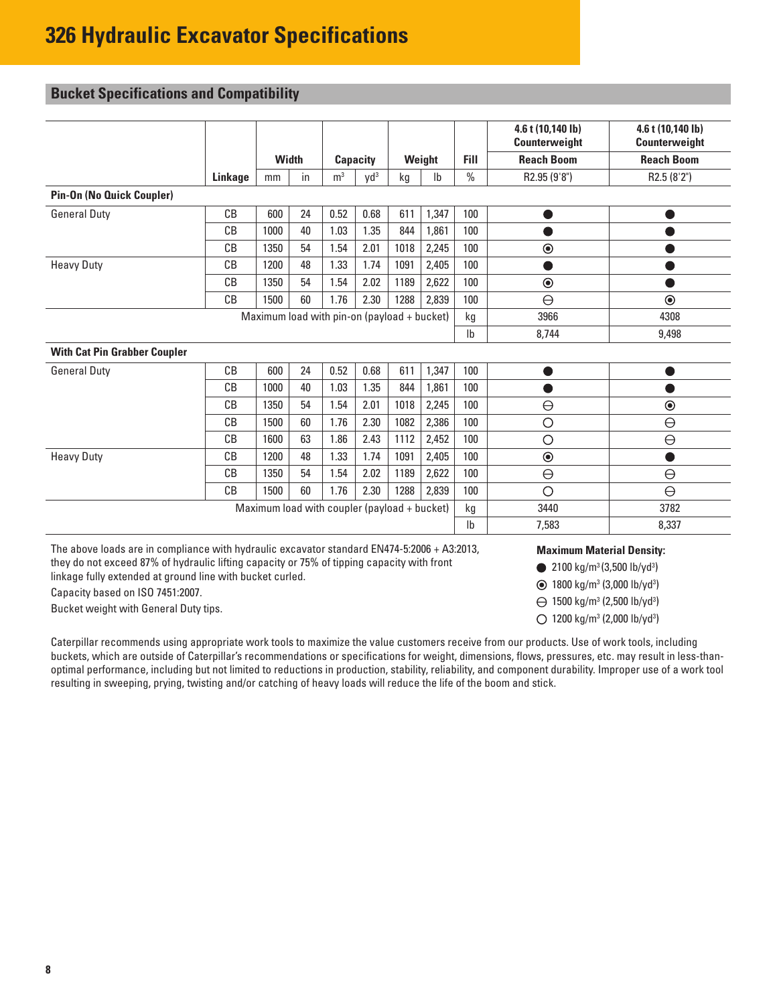# <span id="page-7-0"></span>**Bucket Specifications and Compatibility**

|                                              |         |              |    |                                             |                 |      |               |                | 4.6 t (10,140 lb)<br>Counterweight | 4.6 t (10,140 lb)<br>Counterweight |
|----------------------------------------------|---------|--------------|----|---------------------------------------------|-----------------|------|---------------|----------------|------------------------------------|------------------------------------|
|                                              |         | <b>Width</b> |    |                                             | <b>Capacity</b> |      | Weight        | <b>Fill</b>    | <b>Reach Boom</b>                  | <b>Reach Boom</b>                  |
|                                              | Linkage | mm           | in | m <sup>3</sup>                              | $Vd^3$          | kg   | $\mathsf{lb}$ | $\frac{0}{0}$  | R2.95 (9'8")                       | R2.5 (8'2")                        |
| <b>Pin-On (No Quick Coupler)</b>             |         |              |    |                                             |                 |      |               |                |                                    |                                    |
| <b>General Duty</b>                          | CB      | 600          | 24 | 0.52                                        | 0.68            | 611  | 1,347         | 100            | $\bullet$                          |                                    |
|                                              | CB      | 1000         | 40 | 1.03                                        | 1.35            | 844  | 1,861         | 100            |                                    |                                    |
|                                              | CB      | 1350         | 54 | 1.54                                        | 2.01            | 1018 | 2,245         | 100            | $\odot$                            |                                    |
| <b>Heavy Duty</b>                            | CB      | 1200         | 48 | 1.33                                        | 1.74            | 1091 | 2,405         | 100            |                                    |                                    |
|                                              | CB      | 1350         | 54 | 1.54                                        | 2.02            | 1189 | 2,622         | 100            | $\odot$                            |                                    |
|                                              | CB      | 1500         | 60 | 1.76                                        | 2.30            | 1288 | 2,839         | 100            | $\ominus$                          | $\odot$                            |
|                                              |         |              |    | Maximum load with pin-on (payload + bucket) |                 |      |               | kg             | 3966                               | 4308                               |
|                                              |         |              |    |                                             |                 |      |               | I <sub>b</sub> | 8,744                              | 9,498                              |
| <b>With Cat Pin Grabber Coupler</b>          |         |              |    |                                             |                 |      |               |                |                                    |                                    |
| <b>General Duty</b>                          | CB      | 600          | 24 | 0.52                                        | 0.68            | 611  | 1,347         | 100            | D                                  | $\bullet$                          |
|                                              | CB      | 1000         | 40 | 1.03                                        | 1.35            | 844  | 1,861         | 100            |                                    |                                    |
|                                              | CB      | 1350         | 54 | 1.54                                        | 2.01            | 1018 | 2,245         | 100            | $\ominus$                          | $\odot$                            |
|                                              | CB      | 1500         | 60 | 1.76                                        | 2.30            | 1082 | 2,386         | 100            | $\circ$                            | $\ominus$                          |
|                                              | CB      | 1600         | 63 | 1.86                                        | 2.43            | 1112 | 2,452         | 100            | $\circ$                            | $\ominus$                          |
| <b>Heavy Duty</b>                            | CВ      | 1200         | 48 | 1.33                                        | 1.74            | 1091 | 2,405         | 100            | $\odot$                            | e                                  |
|                                              | CB      | 1350         | 54 | 1.54                                        | 2.02            | 1189 | 2,622         | 100            | $\ominus$                          | $\ominus$                          |
|                                              | CB      | 1500         | 60 | 1.76                                        | 2.30            | 1288 | 2,839         | 100            | $\circ$                            | $\ominus$                          |
| Maximum load with coupler (payload + bucket) |         |              |    |                                             |                 |      |               | kg             | 3440                               | 3782                               |
|                                              |         |              |    |                                             |                 |      |               | I <sub>b</sub> | 7,583                              | 8,337                              |

The above loads are in compliance with hydraulic excavator standard EN474-5:2006 + A3:2013, they do not exceed 87% of hydraulic lifting capacity or 75% of tipping capacity with front linkage fully extended at ground line with bucket curled.

Capacity based on ISO 7451:2007.

Bucket weight with General Duty tips.

Caterpillar recommends using appropriate work tools to maximize the value customers receive from our products. Use of work tools, including buckets, which are outside of Caterpillar's recommendations or specifications for weight, dimensions, flows, pressures, etc. may result in less-thanoptimal performance, including but not limited to reductions in production, stability, reliability, and component durability. Improper use of a work tool resulting in sweeping, prying, twisting and/or catching of heavy loads will reduce the life of the boom and stick.

#### **Maximum Material Density:**

2100 kg/m3 (3,500 lb/yd3 )

- 1800 kg/m3 (3,000 lb/yd3 )
- 1500 kg/m3 (2,500 lb/yd3 )
- 1200 kg/m3 (2,000 lb/yd3 )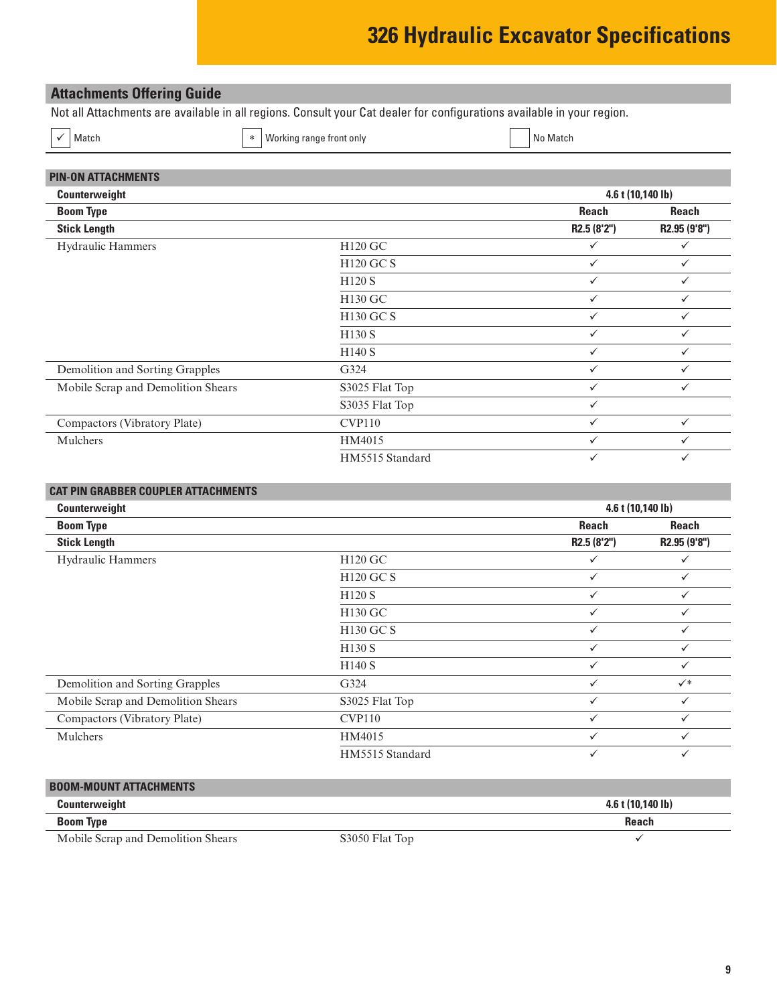# **326 Hydraulic Excavator Specifications**

# <span id="page-8-0"></span>**Attachments Offering Guide**

Not all Attachments are available in all regions. Consult your Cat dealer for configurations available in your region.

 $\checkmark$  Match No Match  $\checkmark$  working range front only No Match  $\checkmark$  No Match

| <b>PIN-ON ATTACHMENTS</b>          |                  |              |                   |
|------------------------------------|------------------|--------------|-------------------|
| Counterweight                      |                  |              | 4.6 t (10,140 lb) |
| <b>Boom Type</b>                   |                  | <b>Reach</b> | <b>Reach</b>      |
| <b>Stick Length</b>                |                  | R2.5 (8'2")  | R2.95 (9'8")      |
| Hydraulic Hammers                  | H120 GC          | $\checkmark$ | ✓                 |
|                                    | <b>H120 GC S</b> | ✓            | ✓                 |
|                                    | H120 S           | ✓            | ✓                 |
|                                    | H130 GC          | $\checkmark$ | ✓                 |
|                                    | H130 GC S        | $\checkmark$ | ✓                 |
|                                    | H130 S           | $\checkmark$ | $\checkmark$      |
|                                    | H140 S           | ✓            | ✓                 |
| Demolition and Sorting Grapples    | G324             | $\checkmark$ | ✓                 |
| Mobile Scrap and Demolition Shears | S3025 Flat Top   | $\checkmark$ | $\checkmark$      |
|                                    | S3035 Flat Top   | $\checkmark$ |                   |
| Compactors (Vibratory Plate)       | <b>CVP110</b>    | $\checkmark$ | ✓                 |
| Mulchers                           | HM4015           | ✓            | ✓                 |
|                                    | HM5515 Standard  | $\checkmark$ | ✓                 |
|                                    |                  |              |                   |

| <b>CAT PIN GRABBER COUPLER ATTACHMENTS</b> |                    |              |                   |
|--------------------------------------------|--------------------|--------------|-------------------|
| Counterweight                              |                    |              | 4.6 t (10,140 lb) |
| <b>Boom Type</b>                           |                    | <b>Reach</b> | <b>Reach</b>      |
| <b>Stick Length</b>                        |                    | R2.5 (8'2")  | R2.95 (9'8")      |
| Hydraulic Hammers                          | H120 GC            | ✓            | $\checkmark$      |
|                                            | <b>H120 GC S</b>   | ✓            | ✓                 |
|                                            | <b>H120 S</b>      | $\checkmark$ | $\checkmark$      |
|                                            | H130 GC            | $\checkmark$ | ✓                 |
|                                            | H130 GC S          | ✓            | ✓                 |
|                                            | H <sub>130</sub> S | ✓            | ✓                 |
|                                            | H140 S             | $\checkmark$ | ✓                 |
| Demolition and Sorting Grapples            | G324               | $\checkmark$ | $\checkmark^*$    |
| Mobile Scrap and Demolition Shears         | S3025 Flat Top     | ✓            | $\checkmark$      |
| Compactors (Vibratory Plate)               | <b>CVP110</b>      |              |                   |
| Mulchers                                   | HM4015             | $\checkmark$ | $\checkmark$      |
|                                            | HM5515 Standard    | ✓            | $\checkmark$      |

# **BOOM-MOUNT ATTACHMENTS**

| Counterweight                      |                | $4.6$ t (10.140 lb) |
|------------------------------------|----------------|---------------------|
| <b>Boom Type</b>                   |                | Reach               |
| Mobile Scrap and Demolition Shears | S3050 Flat Top |                     |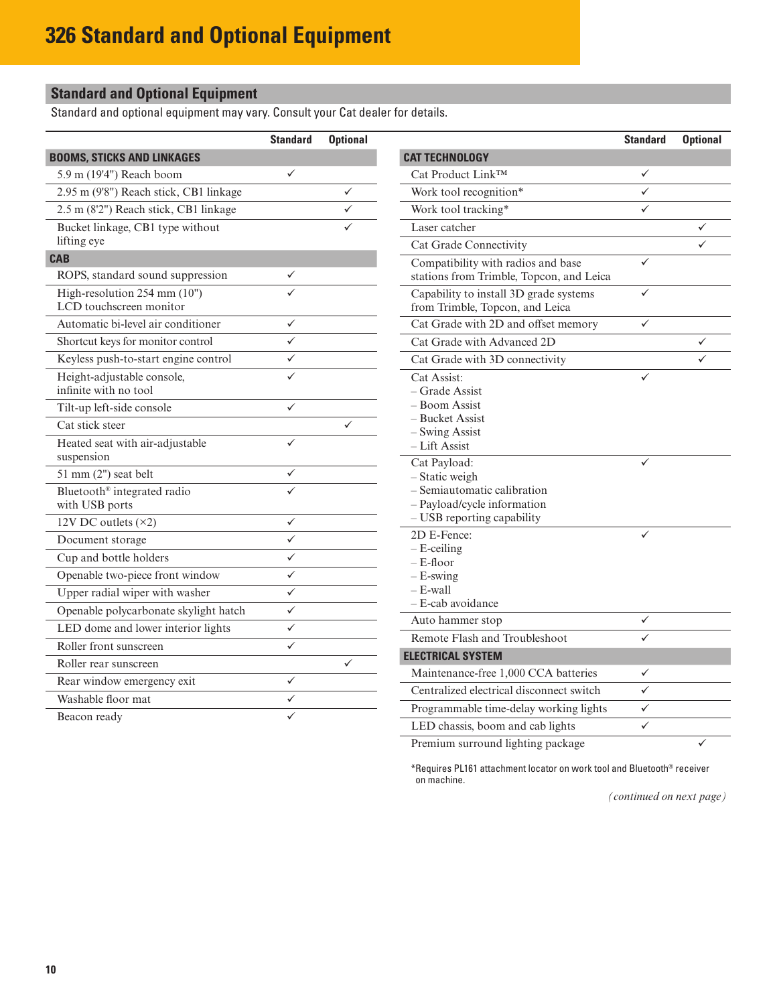# <span id="page-9-0"></span>**Standard and Optional Equipment**

Standard and optional equipment may vary. Consult your Cat dealer for details.

| <b>BOOMS, STICKS AND LINKAGES</b><br><b>CAT TECHNOLOGY</b><br>$\checkmark$<br>Cat Product Link™<br>5.9 m (19'4") Reach boom<br>✓<br>$\checkmark$<br>✓<br>2.95 m (9'8") Reach stick, CB1 linkage<br>Work tool recognition*<br>2.5 m (8'2") Reach stick, CB1 linkage<br>✓<br>Work tool tracking*<br>✓<br>✓<br>Bucket linkage, CB1 type without<br>Laser catcher<br>$\checkmark$<br>lifting eye<br>Cat Grade Connectivity<br>✓<br><b>CAB</b><br>Compatibility with radios and base<br>$\checkmark$<br>ROPS, standard sound suppression<br>stations from Trimble, Topcon, and Leica<br>✓<br>High-resolution 254 mm (10")<br>Capability to install 3D grade systems<br>$\checkmark$<br>LCD touchscreen monitor<br>from Trimble, Topcon, and Leica<br>Automatic bi-level air conditioner<br>$\checkmark$<br>Cat Grade with 2D and offset memory<br>$\checkmark$<br>$\checkmark$<br>Cat Grade with Advanced 2D<br>Shortcut keys for monitor control<br>$\checkmark$<br>Keyless push-to-start engine control<br>$\checkmark$<br>Cat Grade with 3D connectivity<br>$\checkmark$<br>✓<br>Height-adjustable console,<br>Cat Assist:<br>✓<br>infinite with no tool<br>- Grade Assist<br>- Boom Assist<br>Tilt-up left-side console<br>$\checkmark$<br>– Bucket Assist<br>✓<br>Cat stick steer<br>- Swing Assist<br>$\checkmark$<br>Heated seat with air-adjustable<br>– Lift Assist<br>suspension<br>Cat Payload:<br>✓<br>51 mm (2") seat belt<br>$\checkmark$<br>- Static weigh<br>✓<br>- Semiautomatic calibration<br>Bluetooth <sup>®</sup> integrated radio<br>- Payload/cycle information<br>with USB ports<br>- USB reporting capability<br>12V DC outlets $(x2)$<br>$\checkmark$<br>2D E-Fence:<br>✓<br>$\checkmark$<br>Document storage<br>$-$ E-ceiling<br>$\overline{\checkmark}$<br>Cup and bottle holders<br>- E-floor<br>$\checkmark$<br>Openable two-piece front window<br>$-E$ -swing<br>$-$ E-wall<br>$\checkmark$<br>Upper radial wiper with washer<br>- E-cab avoidance<br>$\checkmark$<br>Openable polycarbonate skylight hatch<br>Auto hammer stop<br>$\checkmark$<br>LED dome and lower interior lights<br>$\checkmark$<br>Remote Flash and Troubleshoot<br>✓<br>Roller front sunscreen<br>$\checkmark$<br><b>ELECTRICAL SYSTEM</b><br>✓<br>Roller rear sunscreen<br>Maintenance-free 1,000 CCA batteries<br>✓<br>$\checkmark$<br>Rear window emergency exit<br>Centralized electrical disconnect switch<br>✓<br>$\checkmark$<br>Washable floor mat<br>$\checkmark$<br>Programmable time-delay working lights<br>Beacon ready | <b>Standard</b> | <b>Optional</b> |                                  | <b>Standard</b> | <b>Optional</b> |
|----------------------------------------------------------------------------------------------------------------------------------------------------------------------------------------------------------------------------------------------------------------------------------------------------------------------------------------------------------------------------------------------------------------------------------------------------------------------------------------------------------------------------------------------------------------------------------------------------------------------------------------------------------------------------------------------------------------------------------------------------------------------------------------------------------------------------------------------------------------------------------------------------------------------------------------------------------------------------------------------------------------------------------------------------------------------------------------------------------------------------------------------------------------------------------------------------------------------------------------------------------------------------------------------------------------------------------------------------------------------------------------------------------------------------------------------------------------------------------------------------------------------------------------------------------------------------------------------------------------------------------------------------------------------------------------------------------------------------------------------------------------------------------------------------------------------------------------------------------------------------------------------------------------------------------------------------------------------------------------------------------------------------------------------------------------------------------------------------------------------------------------------------------------------------------------------------------------------------------------------------------------------------------------------------------------------------------------------------------------------------------------------------------------------------------------------------------------------------------------------------------------------------------------|-----------------|-----------------|----------------------------------|-----------------|-----------------|
|                                                                                                                                                                                                                                                                                                                                                                                                                                                                                                                                                                                                                                                                                                                                                                                                                                                                                                                                                                                                                                                                                                                                                                                                                                                                                                                                                                                                                                                                                                                                                                                                                                                                                                                                                                                                                                                                                                                                                                                                                                                                                                                                                                                                                                                                                                                                                                                                                                                                                                                                        |                 |                 |                                  |                 |                 |
|                                                                                                                                                                                                                                                                                                                                                                                                                                                                                                                                                                                                                                                                                                                                                                                                                                                                                                                                                                                                                                                                                                                                                                                                                                                                                                                                                                                                                                                                                                                                                                                                                                                                                                                                                                                                                                                                                                                                                                                                                                                                                                                                                                                                                                                                                                                                                                                                                                                                                                                                        |                 |                 |                                  |                 |                 |
|                                                                                                                                                                                                                                                                                                                                                                                                                                                                                                                                                                                                                                                                                                                                                                                                                                                                                                                                                                                                                                                                                                                                                                                                                                                                                                                                                                                                                                                                                                                                                                                                                                                                                                                                                                                                                                                                                                                                                                                                                                                                                                                                                                                                                                                                                                                                                                                                                                                                                                                                        |                 |                 |                                  |                 |                 |
|                                                                                                                                                                                                                                                                                                                                                                                                                                                                                                                                                                                                                                                                                                                                                                                                                                                                                                                                                                                                                                                                                                                                                                                                                                                                                                                                                                                                                                                                                                                                                                                                                                                                                                                                                                                                                                                                                                                                                                                                                                                                                                                                                                                                                                                                                                                                                                                                                                                                                                                                        |                 |                 |                                  |                 |                 |
|                                                                                                                                                                                                                                                                                                                                                                                                                                                                                                                                                                                                                                                                                                                                                                                                                                                                                                                                                                                                                                                                                                                                                                                                                                                                                                                                                                                                                                                                                                                                                                                                                                                                                                                                                                                                                                                                                                                                                                                                                                                                                                                                                                                                                                                                                                                                                                                                                                                                                                                                        |                 |                 |                                  |                 |                 |
|                                                                                                                                                                                                                                                                                                                                                                                                                                                                                                                                                                                                                                                                                                                                                                                                                                                                                                                                                                                                                                                                                                                                                                                                                                                                                                                                                                                                                                                                                                                                                                                                                                                                                                                                                                                                                                                                                                                                                                                                                                                                                                                                                                                                                                                                                                                                                                                                                                                                                                                                        |                 |                 |                                  |                 |                 |
|                                                                                                                                                                                                                                                                                                                                                                                                                                                                                                                                                                                                                                                                                                                                                                                                                                                                                                                                                                                                                                                                                                                                                                                                                                                                                                                                                                                                                                                                                                                                                                                                                                                                                                                                                                                                                                                                                                                                                                                                                                                                                                                                                                                                                                                                                                                                                                                                                                                                                                                                        |                 |                 |                                  |                 |                 |
|                                                                                                                                                                                                                                                                                                                                                                                                                                                                                                                                                                                                                                                                                                                                                                                                                                                                                                                                                                                                                                                                                                                                                                                                                                                                                                                                                                                                                                                                                                                                                                                                                                                                                                                                                                                                                                                                                                                                                                                                                                                                                                                                                                                                                                                                                                                                                                                                                                                                                                                                        |                 |                 |                                  |                 |                 |
|                                                                                                                                                                                                                                                                                                                                                                                                                                                                                                                                                                                                                                                                                                                                                                                                                                                                                                                                                                                                                                                                                                                                                                                                                                                                                                                                                                                                                                                                                                                                                                                                                                                                                                                                                                                                                                                                                                                                                                                                                                                                                                                                                                                                                                                                                                                                                                                                                                                                                                                                        |                 |                 |                                  |                 |                 |
|                                                                                                                                                                                                                                                                                                                                                                                                                                                                                                                                                                                                                                                                                                                                                                                                                                                                                                                                                                                                                                                                                                                                                                                                                                                                                                                                                                                                                                                                                                                                                                                                                                                                                                                                                                                                                                                                                                                                                                                                                                                                                                                                                                                                                                                                                                                                                                                                                                                                                                                                        |                 |                 |                                  |                 |                 |
|                                                                                                                                                                                                                                                                                                                                                                                                                                                                                                                                                                                                                                                                                                                                                                                                                                                                                                                                                                                                                                                                                                                                                                                                                                                                                                                                                                                                                                                                                                                                                                                                                                                                                                                                                                                                                                                                                                                                                                                                                                                                                                                                                                                                                                                                                                                                                                                                                                                                                                                                        |                 |                 |                                  |                 |                 |
|                                                                                                                                                                                                                                                                                                                                                                                                                                                                                                                                                                                                                                                                                                                                                                                                                                                                                                                                                                                                                                                                                                                                                                                                                                                                                                                                                                                                                                                                                                                                                                                                                                                                                                                                                                                                                                                                                                                                                                                                                                                                                                                                                                                                                                                                                                                                                                                                                                                                                                                                        |                 |                 |                                  |                 |                 |
|                                                                                                                                                                                                                                                                                                                                                                                                                                                                                                                                                                                                                                                                                                                                                                                                                                                                                                                                                                                                                                                                                                                                                                                                                                                                                                                                                                                                                                                                                                                                                                                                                                                                                                                                                                                                                                                                                                                                                                                                                                                                                                                                                                                                                                                                                                                                                                                                                                                                                                                                        |                 |                 |                                  |                 |                 |
|                                                                                                                                                                                                                                                                                                                                                                                                                                                                                                                                                                                                                                                                                                                                                                                                                                                                                                                                                                                                                                                                                                                                                                                                                                                                                                                                                                                                                                                                                                                                                                                                                                                                                                                                                                                                                                                                                                                                                                                                                                                                                                                                                                                                                                                                                                                                                                                                                                                                                                                                        |                 |                 |                                  |                 |                 |
|                                                                                                                                                                                                                                                                                                                                                                                                                                                                                                                                                                                                                                                                                                                                                                                                                                                                                                                                                                                                                                                                                                                                                                                                                                                                                                                                                                                                                                                                                                                                                                                                                                                                                                                                                                                                                                                                                                                                                                                                                                                                                                                                                                                                                                                                                                                                                                                                                                                                                                                                        |                 |                 |                                  |                 |                 |
|                                                                                                                                                                                                                                                                                                                                                                                                                                                                                                                                                                                                                                                                                                                                                                                                                                                                                                                                                                                                                                                                                                                                                                                                                                                                                                                                                                                                                                                                                                                                                                                                                                                                                                                                                                                                                                                                                                                                                                                                                                                                                                                                                                                                                                                                                                                                                                                                                                                                                                                                        |                 |                 |                                  |                 |                 |
|                                                                                                                                                                                                                                                                                                                                                                                                                                                                                                                                                                                                                                                                                                                                                                                                                                                                                                                                                                                                                                                                                                                                                                                                                                                                                                                                                                                                                                                                                                                                                                                                                                                                                                                                                                                                                                                                                                                                                                                                                                                                                                                                                                                                                                                                                                                                                                                                                                                                                                                                        |                 |                 |                                  |                 |                 |
|                                                                                                                                                                                                                                                                                                                                                                                                                                                                                                                                                                                                                                                                                                                                                                                                                                                                                                                                                                                                                                                                                                                                                                                                                                                                                                                                                                                                                                                                                                                                                                                                                                                                                                                                                                                                                                                                                                                                                                                                                                                                                                                                                                                                                                                                                                                                                                                                                                                                                                                                        |                 |                 |                                  |                 |                 |
|                                                                                                                                                                                                                                                                                                                                                                                                                                                                                                                                                                                                                                                                                                                                                                                                                                                                                                                                                                                                                                                                                                                                                                                                                                                                                                                                                                                                                                                                                                                                                                                                                                                                                                                                                                                                                                                                                                                                                                                                                                                                                                                                                                                                                                                                                                                                                                                                                                                                                                                                        |                 |                 |                                  |                 |                 |
|                                                                                                                                                                                                                                                                                                                                                                                                                                                                                                                                                                                                                                                                                                                                                                                                                                                                                                                                                                                                                                                                                                                                                                                                                                                                                                                                                                                                                                                                                                                                                                                                                                                                                                                                                                                                                                                                                                                                                                                                                                                                                                                                                                                                                                                                                                                                                                                                                                                                                                                                        |                 |                 |                                  |                 |                 |
|                                                                                                                                                                                                                                                                                                                                                                                                                                                                                                                                                                                                                                                                                                                                                                                                                                                                                                                                                                                                                                                                                                                                                                                                                                                                                                                                                                                                                                                                                                                                                                                                                                                                                                                                                                                                                                                                                                                                                                                                                                                                                                                                                                                                                                                                                                                                                                                                                                                                                                                                        |                 |                 |                                  |                 |                 |
|                                                                                                                                                                                                                                                                                                                                                                                                                                                                                                                                                                                                                                                                                                                                                                                                                                                                                                                                                                                                                                                                                                                                                                                                                                                                                                                                                                                                                                                                                                                                                                                                                                                                                                                                                                                                                                                                                                                                                                                                                                                                                                                                                                                                                                                                                                                                                                                                                                                                                                                                        |                 |                 |                                  |                 |                 |
|                                                                                                                                                                                                                                                                                                                                                                                                                                                                                                                                                                                                                                                                                                                                                                                                                                                                                                                                                                                                                                                                                                                                                                                                                                                                                                                                                                                                                                                                                                                                                                                                                                                                                                                                                                                                                                                                                                                                                                                                                                                                                                                                                                                                                                                                                                                                                                                                                                                                                                                                        |                 |                 |                                  |                 |                 |
|                                                                                                                                                                                                                                                                                                                                                                                                                                                                                                                                                                                                                                                                                                                                                                                                                                                                                                                                                                                                                                                                                                                                                                                                                                                                                                                                                                                                                                                                                                                                                                                                                                                                                                                                                                                                                                                                                                                                                                                                                                                                                                                                                                                                                                                                                                                                                                                                                                                                                                                                        |                 |                 |                                  |                 |                 |
|                                                                                                                                                                                                                                                                                                                                                                                                                                                                                                                                                                                                                                                                                                                                                                                                                                                                                                                                                                                                                                                                                                                                                                                                                                                                                                                                                                                                                                                                                                                                                                                                                                                                                                                                                                                                                                                                                                                                                                                                                                                                                                                                                                                                                                                                                                                                                                                                                                                                                                                                        |                 |                 |                                  |                 |                 |
|                                                                                                                                                                                                                                                                                                                                                                                                                                                                                                                                                                                                                                                                                                                                                                                                                                                                                                                                                                                                                                                                                                                                                                                                                                                                                                                                                                                                                                                                                                                                                                                                                                                                                                                                                                                                                                                                                                                                                                                                                                                                                                                                                                                                                                                                                                                                                                                                                                                                                                                                        |                 |                 |                                  |                 |                 |
|                                                                                                                                                                                                                                                                                                                                                                                                                                                                                                                                                                                                                                                                                                                                                                                                                                                                                                                                                                                                                                                                                                                                                                                                                                                                                                                                                                                                                                                                                                                                                                                                                                                                                                                                                                                                                                                                                                                                                                                                                                                                                                                                                                                                                                                                                                                                                                                                                                                                                                                                        |                 |                 |                                  |                 |                 |
|                                                                                                                                                                                                                                                                                                                                                                                                                                                                                                                                                                                                                                                                                                                                                                                                                                                                                                                                                                                                                                                                                                                                                                                                                                                                                                                                                                                                                                                                                                                                                                                                                                                                                                                                                                                                                                                                                                                                                                                                                                                                                                                                                                                                                                                                                                                                                                                                                                                                                                                                        |                 |                 |                                  |                 |                 |
|                                                                                                                                                                                                                                                                                                                                                                                                                                                                                                                                                                                                                                                                                                                                                                                                                                                                                                                                                                                                                                                                                                                                                                                                                                                                                                                                                                                                                                                                                                                                                                                                                                                                                                                                                                                                                                                                                                                                                                                                                                                                                                                                                                                                                                                                                                                                                                                                                                                                                                                                        |                 |                 |                                  |                 |                 |
|                                                                                                                                                                                                                                                                                                                                                                                                                                                                                                                                                                                                                                                                                                                                                                                                                                                                                                                                                                                                                                                                                                                                                                                                                                                                                                                                                                                                                                                                                                                                                                                                                                                                                                                                                                                                                                                                                                                                                                                                                                                                                                                                                                                                                                                                                                                                                                                                                                                                                                                                        |                 |                 |                                  |                 |                 |
|                                                                                                                                                                                                                                                                                                                                                                                                                                                                                                                                                                                                                                                                                                                                                                                                                                                                                                                                                                                                                                                                                                                                                                                                                                                                                                                                                                                                                                                                                                                                                                                                                                                                                                                                                                                                                                                                                                                                                                                                                                                                                                                                                                                                                                                                                                                                                                                                                                                                                                                                        |                 |                 |                                  |                 |                 |
|                                                                                                                                                                                                                                                                                                                                                                                                                                                                                                                                                                                                                                                                                                                                                                                                                                                                                                                                                                                                                                                                                                                                                                                                                                                                                                                                                                                                                                                                                                                                                                                                                                                                                                                                                                                                                                                                                                                                                                                                                                                                                                                                                                                                                                                                                                                                                                                                                                                                                                                                        |                 |                 |                                  |                 |                 |
|                                                                                                                                                                                                                                                                                                                                                                                                                                                                                                                                                                                                                                                                                                                                                                                                                                                                                                                                                                                                                                                                                                                                                                                                                                                                                                                                                                                                                                                                                                                                                                                                                                                                                                                                                                                                                                                                                                                                                                                                                                                                                                                                                                                                                                                                                                                                                                                                                                                                                                                                        |                 |                 | LED chassis, boom and cab lights | $\checkmark$    |                 |

Premium surround lighting package  $\checkmark$ 

\*Requires PL161 attachment locator on work tool and Bluetooth® receiver on machine.

*(continued on next page)*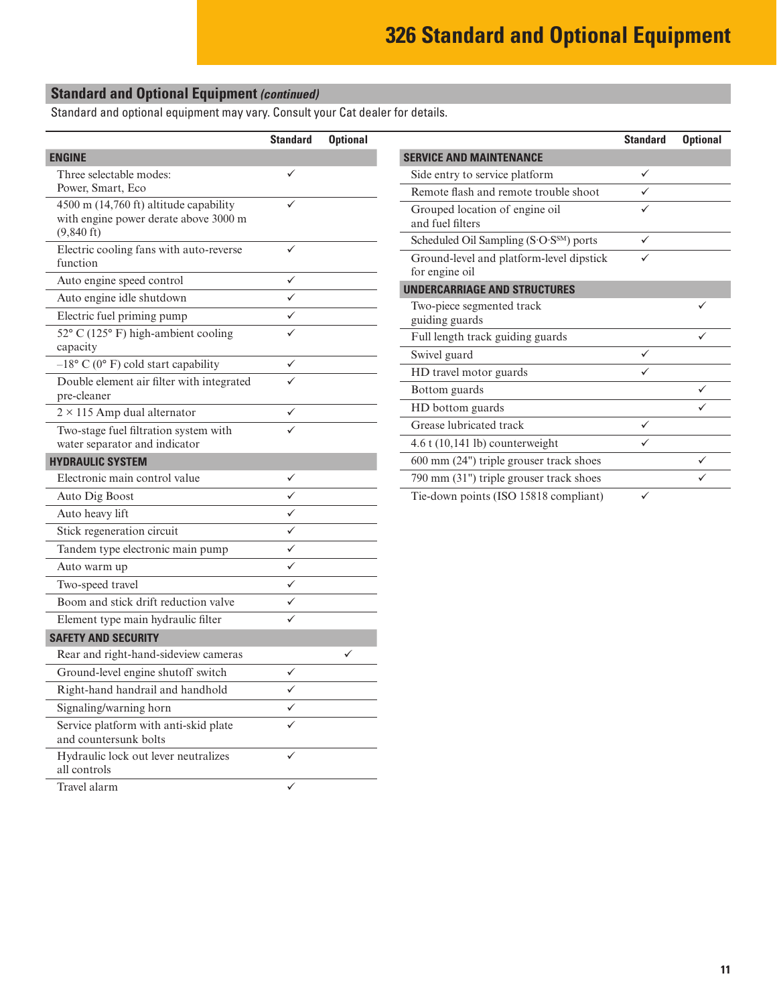# **Standard and Optional Equipment** *(continued)*

Standard and optional equipment may vary. Consult your Cat dealer for details.

|                                                                                 | <b>Standard</b> | <b>Optional</b> |
|---------------------------------------------------------------------------------|-----------------|-----------------|
| <b>ENGINE</b>                                                                   |                 |                 |
| Three selectable modes:                                                         | ✓               |                 |
| Power, Smart, Eco                                                               |                 |                 |
| 4500 m (14,760 ft) altitude capability<br>with engine power derate above 3000 m |                 |                 |
| $(9,840 \text{ ft})$                                                            |                 |                 |
| Electric cooling fans with auto-reverse<br>function                             |                 |                 |
| Auto engine speed control                                                       | ✓               |                 |
| Auto engine idle shutdown                                                       | ✓               |                 |
| Electric fuel priming pump                                                      | ✓               |                 |
| 52° C (125° F) high-ambient cooling<br>capacity                                 |                 |                 |
| $-18$ ° C (0° F) cold start capability                                          |                 |                 |
| Double element air filter with integrated<br>pre-cleaner                        |                 |                 |
| $2 \times 115$ Amp dual alternator                                              |                 |                 |
| Two-stage fuel filtration system with<br>water separator and indicator          |                 |                 |
| <b>HYDRAULIC SYSTEM</b>                                                         |                 |                 |
| Electronic main control value                                                   |                 |                 |
| Auto Dig Boost                                                                  |                 |                 |
| Auto heavy lift                                                                 |                 |                 |
| Stick regeneration circuit                                                      | ✓               |                 |
| Tandem type electronic main pump                                                | ✓               |                 |
| Auto warm up                                                                    | ✓               |                 |
| Two-speed travel                                                                |                 |                 |
| Boom and stick drift reduction valve                                            |                 |                 |
| Element type main hydraulic filter                                              |                 |                 |
| <b>SAFETY AND SECURITY</b>                                                      |                 |                 |
| Rear and right-hand-sideview cameras                                            |                 |                 |
| Ground-level engine shutoff switch                                              | ✓               |                 |
| Right-hand handrail and handhold                                                | ✓               |                 |
| Signaling/warning horn                                                          |                 |                 |
| Service platform with anti-skid plate<br>and countersunk bolts                  |                 |                 |
| Hydraulic lock out lever neutralizes<br>all controls                            |                 |                 |
| Travel alarm                                                                    | $\checkmark$    |                 |

|                                                            | <b>Standard</b> | <b>Optional</b> |
|------------------------------------------------------------|-----------------|-----------------|
| <b>SERVICE AND MAINTENANCE</b>                             |                 |                 |
| Side entry to service platform                             | ✓               |                 |
| Remote flash and remote trouble shoot                      |                 |                 |
| Grouped location of engine oil<br>and fuel filters         |                 |                 |
| Scheduled Oil Sampling (S.O.SSM) ports                     | ✓               |                 |
| Ground-level and platform-level dipstick<br>for engine oil |                 |                 |
| <b>UNDERCARRIAGE AND STRUCTURES</b>                        |                 |                 |
| Two-piece segmented track<br>guiding guards                |                 |                 |
| Full length track guiding guards                           |                 |                 |
| Swivel guard                                               |                 |                 |
| HD travel motor guards                                     |                 |                 |
| Bottom guards                                              |                 |                 |
| HD bottom guards                                           |                 |                 |
| Grease lubricated track                                    |                 |                 |
| $4.6$ t $(10,141$ lb) counterweight                        |                 |                 |
| 600 mm (24") triple grouser track shoes                    |                 | ✓               |
| 790 mm (31") triple grouser track shoes                    |                 |                 |
| Tie-down points (ISO 15818 compliant)                      |                 |                 |